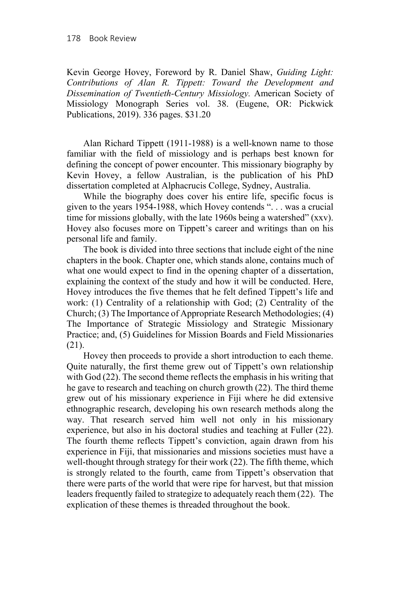Kevin George Hovey, Foreword by R. Daniel Shaw, *Guiding Light: Contributions of Alan R. Tippett: Toward the Development and Dissemination of Twentieth-Century Missiology.* American Society of Missiology Monograph Series vol. 38. (Eugene, OR: Pickwick Publications, 2019). 336 pages. \$31.20

Alan Richard Tippett (1911-1988) is a well-known name to those familiar with the field of missiology and is perhaps best known for defining the concept of power encounter. This missionary biography by Kevin Hovey, a fellow Australian, is the publication of his PhD dissertation completed at Alphacrucis College, Sydney, Australia.

While the biography does cover his entire life, specific focus is given to the years 1954-1988, which Hovey contends ". . . was a crucial time for missions globally, with the late 1960s being a watershed" (xxv). Hovey also focuses more on Tippett's career and writings than on his personal life and family.

The book is divided into three sections that include eight of the nine chapters in the book. Chapter one, which stands alone, contains much of what one would expect to find in the opening chapter of a dissertation, explaining the context of the study and how it will be conducted. Here, Hovey introduces the five themes that he felt defined Tippett's life and work: (1) Centrality of a relationship with God; (2) Centrality of the Church; (3) The Importance of Appropriate Research Methodologies; (4) The Importance of Strategic Missiology and Strategic Missionary Practice; and, (5) Guidelines for Mission Boards and Field Missionaries (21).

Hovey then proceeds to provide a short introduction to each theme. Quite naturally, the first theme grew out of Tippett's own relationship with God (22). The second theme reflects the emphasis in his writing that he gave to research and teaching on church growth (22). The third theme grew out of his missionary experience in Fiji where he did extensive ethnographic research, developing his own research methods along the way. That research served him well not only in his missionary experience, but also in his doctoral studies and teaching at Fuller (22). The fourth theme reflects Tippett's conviction, again drawn from his experience in Fiji, that missionaries and missions societies must have a well-thought through strategy for their work (22). The fifth theme, which is strongly related to the fourth, came from Tippett's observation that there were parts of the world that were ripe for harvest, but that mission leaders frequently failed to strategize to adequately reach them (22). The explication of these themes is threaded throughout the book.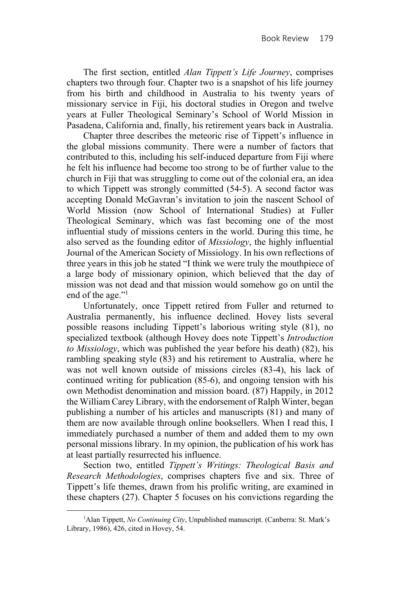The first section, entitled *Alan Tippett's Life Journey*, comprises chapters two through four. Chapter two is a snapshot of his life journey from his birth and childhood in Australia to his twenty years of missionary service in Fiji, his doctoral studies in Oregon and twelve years at Fuller Theological Seminary's School of World Mission in Pasadena, California and, finally, his retirement years back in Australia.

Chapter three describes the meteoric rise of Tippett's influence in the global missions community. There were a number of factors that contributed to this, including his self-induced departure from Fiji where he felt his influence had become too strong to be of further value to the church in Fiji that was struggling to come out of the colonial era, an idea to which Tippett was strongly committed (54-5). A second factor was accepting Donald McGavran's invitation to join the nascent School of World Mission (now School of International Studies) at Fuller Theological Seminary, which was fast becoming one of the most influential study of missions centers in the world. During this time, he also served as the founding editor of *Missiology*, the highly influential Journal of the American Society of Missiology. In his own reflections of three years in this job he stated "I think we were truly the mouthpiece of a large body of missionary opinion, which believed that the day of mission was not dead and that mission would somehow go on until the end of the age."<sup>1</sup>

Unfortunately, once Tippett retired from Fuller and returned to Australia permanently, his influence declined. Hovey lists several possible reasons including Tippett's laborious writing style (81), no specialized textbook (although Hovey does note Tippett's *Introduction to Missiology*, which was published the year before his death) (82), his rambling speaking style (83) and his retirement to Australia, where he was not well known outside of missions circles (83-4), his lack of continued writing for publication (85-6), and ongoing tension with his own Methodist denomination and mission board. (87) Happily, in 2012 the William Carey Library, with the endorsement of Ralph Winter, began publishing a number of his articles and manuscripts (81) and many of them are now available through online booksellers. When I read this, I immediately purchased a number of them and added them to my own personal missions library. In my opinion, the publication of his work has at least partially resurrected his influence.

Section two, entitled *Tippett's Writings: Theological Basis and Research Methodologies*, comprises chapters five and six. Three of Tippett's life themes, drawn from his prolific writing, are examined in these chapters (27). Chapter 5 focuses on his convictions regarding the

 $\overline{\phantom{a}}$ 

<sup>&</sup>lt;sup>1</sup> Alan Tippett, *No Continuing City*, Unpublished manuscript. (Canberra: St. Mark's Library, 1986), 426, cited in Hovey, 54.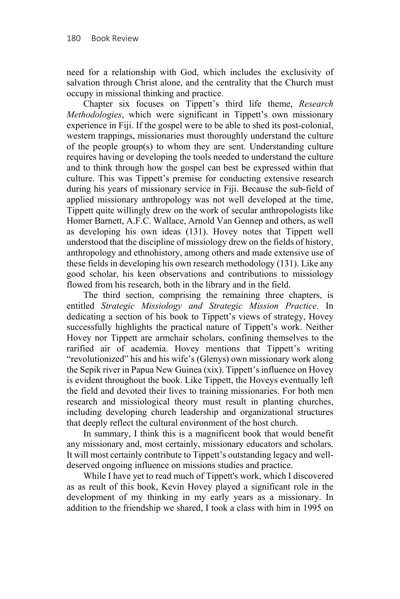need for a relationship with God, which includes the exclusivity of salvation through Christ alone, and the centrality that the Church must occupy in missional thinking and practice.

Chapter six focuses on Tippett's third life theme, *Research Methodologies*, which were significant in Tippett's own missionary experience in Fiji. If the gospel were to be able to shed its post-colonial, western trappings, missionaries must thoroughly understand the culture of the people group(s) to whom they are sent. Understanding culture requires having or developing the tools needed to understand the culture and to think through how the gospel can best be expressed within that culture. This was Tippett's premise for conducting extensive research during his years of missionary service in Fiji. Because the sub-field of applied missionary anthropology was not well developed at the time, Tippett quite willingly drew on the work of secular anthropologists like Homer Barnett, A.F.C. Wallace, Arnold Van Gennep and others, as well as developing his own ideas (131). Hovey notes that Tippett well understood that the discipline of missiology drew on the fields of history, anthropology and ethnohistory, among others and made extensive use of these fields in developing his own research methodology (131). Like any good scholar, his keen observations and contributions to missiology flowed from his research, both in the library and in the field.

The third section, comprising the remaining three chapters, is entitled *Strategic Missiology and Strategic Mission Practice.* In dedicating a section of his book to Tippett's views of strategy, Hovey successfully highlights the practical nature of Tippett's work. Neither Hovey nor Tippett are armchair scholars, confining themselves to the rarified air of academia. Hovey mentions that Tippett's writing "revolutionized" his and his wife's (Glenys) own missionary work along the Sepik river in Papua New Guinea (xix). Tippett's influence on Hovey is evident throughout the book. Like Tippett, the Hoveys eventually left the field and devoted their lives to training missionaries. For both men research and missiological theory must result in planting churches, including developing church leadership and organizational structures that deeply reflect the cultural environment of the host church.

In summary, I think this is a magnificent book that would benefit any missionary and, most certainly, missionary educators and scholars. It will most certainly contribute to Tippett's outstanding legacy and welldeserved ongoing influence on missions studies and practice.

While I have yet to read much of Tippett's work, which I discovered as as reult of this book, Kevin Hovey played a significant role in the development of my thinking in my early years as a missionary. In addition to the friendship we shared, I took a class with him in 1995 on